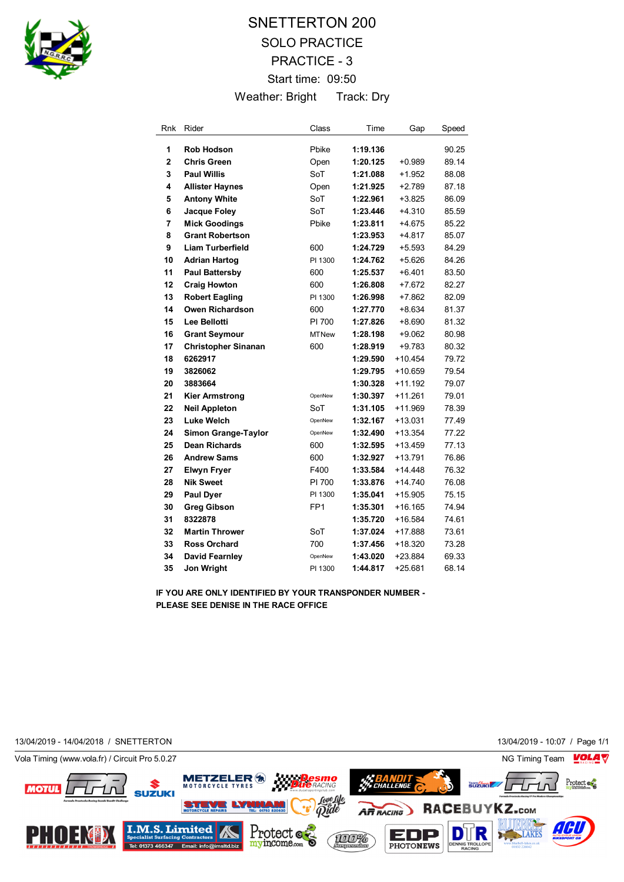

## SNETTERTON 200 SOLO PRACTICE PRACTICE - 3 Start time: 09:50 Weather: Bright Track: Dry

| Rnk            | Rider                      | Class           | Time     | Gap       | Speed |
|----------------|----------------------------|-----------------|----------|-----------|-------|
| 1              | Rob Hodson                 | Pbike           | 1:19.136 |           | 90.25 |
| $\overline{2}$ | <b>Chris Green</b>         | Open            | 1:20.125 | $+0.989$  | 89.14 |
| 3              | <b>Paul Willis</b>         | SoT             | 1:21.088 | +1.952    | 88.08 |
| 4              | <b>Allister Haynes</b>     | Open            | 1:21.925 | $+2.789$  | 87.18 |
| 5              | <b>Antony White</b>        | SoT             | 1:22.961 | $+3.825$  | 86.09 |
| 6              | Jacque Foley               | SoT             | 1:23.446 | $+4.310$  | 85.59 |
| 7              | <b>Mick Goodings</b>       | Pbike           | 1:23.811 | $+4.675$  | 85.22 |
| 8              | <b>Grant Robertson</b>     |                 | 1:23.953 | $+4.817$  | 85.07 |
| 9              | <b>Liam Turberfield</b>    | 600             | 1:24.729 | $+5.593$  | 84.29 |
| 10             | <b>Adrian Hartog</b>       | PI 1300         | 1:24.762 | $+5.626$  | 84.26 |
| 11             | <b>Paul Battersby</b>      | 600             | 1:25.537 | $+6.401$  | 83.50 |
| 12             | <b>Craig Howton</b>        | 600             | 1:26.808 | $+7.672$  | 82.27 |
| 13             | <b>Robert Eagling</b>      | PI 1300         | 1:26.998 | $+7.862$  | 82.09 |
| 14             | Owen Richardson            | 600             | 1:27.770 | +8.634    | 81.37 |
| 15             | Lee Bellotti               | PI 700          | 1:27.826 | $+8.690$  | 81.32 |
| 16             | <b>Grant Seymour</b>       | <b>MTNew</b>    | 1:28.198 | $+9.062$  | 80.98 |
| 17             | <b>Christopher Sinanan</b> | 600             | 1:28.919 | +9.783    | 80.32 |
| 18             | 6262917                    |                 | 1:29.590 | $+10.454$ | 79.72 |
| 19             | 3826062                    |                 | 1:29.795 | $+10.659$ | 79.54 |
| 20             | 3883664                    |                 | 1:30.328 | $+11.192$ | 79.07 |
| 21             | <b>Kier Armstrong</b>      | OpenNew         | 1:30.397 | $+11.261$ | 79.01 |
| 22             | <b>Neil Appleton</b>       | SoT             | 1:31.105 | $+11.969$ | 78.39 |
| 23             | <b>Luke Welch</b>          | OpenNew         | 1:32.167 | $+13.031$ | 77.49 |
| 24             | Simon Grange-Taylor        | OpenNew         | 1:32.490 | $+13.354$ | 77.22 |
| 25             | <b>Dean Richards</b>       | 600             | 1:32.595 | $+13.459$ | 77.13 |
| 26             | <b>Andrew Sams</b>         | 600             | 1:32.927 | $+13.791$ | 76.86 |
| 27             | <b>Elwyn Fryer</b>         | F400            | 1:33.584 | $+14.448$ | 76.32 |
| 28             | <b>Nik Sweet</b>           | PI 700          | 1:33.876 | $+14.740$ | 76.08 |
| 29             | <b>Paul Dyer</b>           | PI 1300         | 1:35.041 | $+15.905$ | 75.15 |
| 30             | <b>Greg Gibson</b>         | FP <sub>1</sub> | 1:35.301 | $+16.165$ | 74.94 |
| 31             | 8322878                    |                 | 1:35.720 | $+16.584$ | 74.61 |
| 32             | <b>Martin Thrower</b>      | SoT             | 1:37.024 | +17.888   | 73.61 |
| 33             | <b>Ross Orchard</b>        | 700             | 1:37.456 | $+18.320$ | 73.28 |
| 34             | <b>David Fearnley</b>      | OpenNew         | 1:43.020 | $+23.884$ | 69.33 |
| 35             | Jon Wright                 | PI 1300         | 1:44.817 | $+25.681$ | 68.14 |

**IF YOU ARE ONLY IDENTIFIED BY YOUR TRANSPONDER NUMBER - PLEASE SEE DENISE IN THE RACE OFFICE**

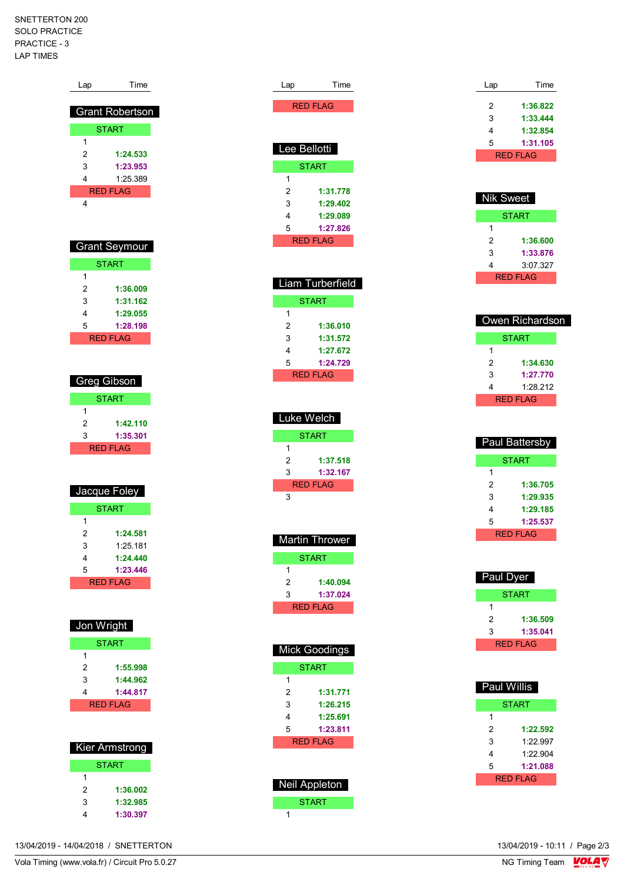SNETTERTON 200 SOLO PRACTICE PRACTICE - 3 LAP TIMES

| Lap                 | Time                        |
|---------------------|-----------------------------|
|                     | <b>Grant Robertson</b>      |
|                     | <b>START</b>                |
| 1                   |                             |
| $\overline{2}$      | 1:24.533                    |
| 3                   | 1:23.953                    |
| 4                   | 1:25.389<br><b>RED FLAG</b> |
| 4                   |                             |
|                     |                             |
|                     |                             |
|                     | <b>Grant Seymour</b>        |
|                     | <b>START</b>                |
| 1                   |                             |
| $\overline{2}$      | 1:36.009                    |
| 3<br>4              | 1:31.162<br>1:29.055        |
| 5                   | 1:28.198                    |
|                     | <b>RED FLAG</b>             |
|                     |                             |
|                     |                             |
|                     | Greg Gibson                 |
|                     | <b>START</b>                |
| 1                   |                             |
| $\overline{2}$<br>3 | 1:42.110<br>1:35.301        |
|                     | <b>RED FLAG</b>             |
|                     |                             |
|                     |                             |
|                     | Jacque Foley                |
|                     | <b>START</b>                |
| 1<br>2              | 1:24.581                    |
| 3                   | 1:25.181                    |
| 4                   | 1:24.440                    |
| 5                   | 1:23.446                    |
|                     | <b>RED FLAG</b>             |
|                     |                             |
|                     |                             |
|                     |                             |
| Jon Wright          |                             |
|                     | <b>START</b>                |
| 1                   |                             |
| $\overline{2}$      | 1:55.998                    |
| 3<br>4              | 1:44.962<br>1:44.817        |
|                     | <b>RED FLAG</b>             |
|                     |                             |
|                     |                             |
|                     | <b>Kier Armstrong</b>       |
|                     | <b>START</b>                |
| 1                   |                             |
| 2<br>3              | 1:36.002<br>1:32.985        |

| Lee Bellotti                                                                                          |
|-------------------------------------------------------------------------------------------------------|
| <b>START</b>                                                                                          |
| 1<br>2<br>1:31.778<br>3<br>1:29.402<br>4<br>1:29.089<br>5<br>1:27.826<br><b>RED FLAG</b>              |
| Liam Turberfield<br><b>START</b>                                                                      |
| 1<br>2<br>1:36.010<br>3<br>1:31.572<br>4<br>1:27.672<br>5<br>1:24.729<br><b>RED FLAG</b>              |
| <b>Luke Welch</b><br><b>START</b>                                                                     |
| 1<br>2<br>1:37.518<br>3<br>1:32.167<br><b>RED FLAG</b>                                                |
| 3                                                                                                     |
| <b>Martin Thrower</b>                                                                                 |
| <b>START</b><br>1<br>2<br>1:40.094<br>3<br>1:37.024<br><b>RED FLAG</b>                                |
| Mick Goodings                                                                                         |
| <b>START</b>                                                                                          |
| 1<br>$\overline{2}$<br>1:31.771<br>3<br>1:26.215<br>4<br>1:25.691<br>5<br>1:23.811<br><b>RED FLAG</b> |
| <b>Neil Appleton</b><br><b>START</b><br>1                                                             |

Lap Time RED FLAG

| Lap | Time            |
|-----|-----------------|
| 2   | 1:36.822        |
|     |                 |
| 3   | 1:33.444        |
| 4   | 1:32.854        |
| 5   | 1:31.105        |
|     | <b>RED FLAG</b> |
|     |                 |
|     |                 |

| Nik Sweet     |          |  |  |  |
|---------------|----------|--|--|--|
| START         |          |  |  |  |
| 1             |          |  |  |  |
| 2<br>1:36.600 |          |  |  |  |
| 3<br>1:33.876 |          |  |  |  |
| 4             | 3:07.327 |  |  |  |
| RFD FI AG     |          |  |  |  |

| Owen Richardson |              |  |
|-----------------|--------------|--|
|                 | <b>START</b> |  |
| 1               |              |  |
| 2               | 1:34.630     |  |
| 3               | 1:27.770     |  |
| 4               | 1:28.212     |  |
| <b>RED FLAG</b> |              |  |

| Paul Battersby |          |  |
|----------------|----------|--|
| <b>START</b>   |          |  |
| 1              |          |  |
| 2              | 1:36.705 |  |
| 3<br>1:29.935  |          |  |
| 1:29.185<br>4  |          |  |
| 5              | 1:25.537 |  |
| RFD FI AG      |          |  |

| Paul Dyer       |              |  |
|-----------------|--------------|--|
|                 | <b>START</b> |  |
| 1               |              |  |
| 2<br>1:36.509   |              |  |
| 3               | 1:35.041     |  |
| <b>RED FLAG</b> |              |  |

| <b>Paul Willis</b> |          |  |  |
|--------------------|----------|--|--|
| START              |          |  |  |
| 1                  |          |  |  |
| 2                  | 1:22.592 |  |  |
| 3<br>1.22997       |          |  |  |
| 1:22.904<br>4      |          |  |  |
| 5                  | 1:21.088 |  |  |
| RFD FI AG          |          |  |  |

13/04/2019 - 10:11 / Page 2/3<br>NG Timing Team  $\sqrt{\frac{1}{2}}$ 

13/04/2019 - 14/04/2018 / SNETTERTON

Vola Timing (www.vola.fr) / Circuit Pro 5.0.27